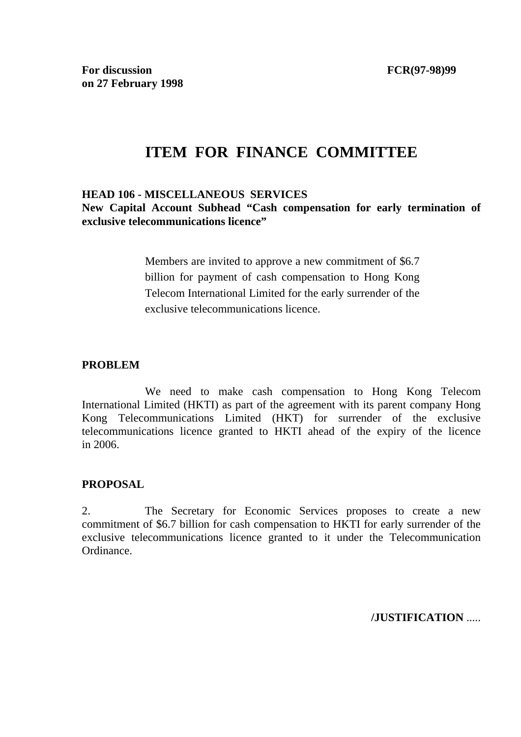# **ITEM FOR FINANCE COMMITTEE**

#### **HEAD 106 - MISCELLANEOUS SERVICES**

**New Capital Account Subhead "Cash compensation for early termination of exclusive telecommunications licence"**

> Members are invited to approve a new commitment of \$6.7 billion for payment of cash compensation to Hong Kong Telecom International Limited for the early surrender of the exclusive telecommunications licence.

#### **PROBLEM**

 We need to make cash compensation to Hong Kong Telecom International Limited (HKTI) as part of the agreement with its parent company Hong Kong Telecommunications Limited (HKT) for surrender of the exclusive telecommunications licence granted to HKTI ahead of the expiry of the licence in 2006.

#### **PROPOSAL**

2. The Secretary for Economic Services proposes to create a new commitment of \$6.7 billion for cash compensation to HKTI for early surrender of the exclusive telecommunications licence granted to it under the Telecommunication Ordinance.

**/JUSTIFICATION** .....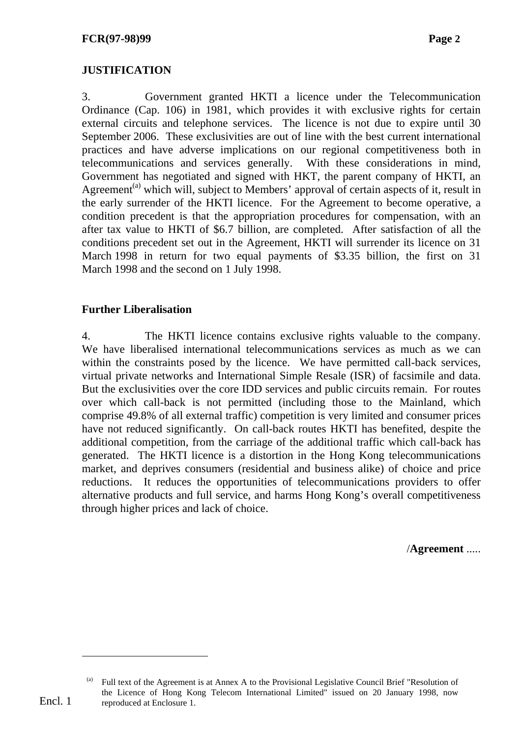### **JUSTIFICATION**

3. Government granted HKTI a licence under the Telecommunication Ordinance (Cap. 106) in 1981, which provides it with exclusive rights for certain external circuits and telephone services. The licence is not due to expire until 30 September 2006. These exclusivities are out of line with the best current international practices and have adverse implications on our regional competitiveness both in telecommunications and services generally. With these considerations in mind, Government has negotiated and signed with HKT, the parent company of HKTI, an Agreement<sup>(a)</sup> which will, subject to Members' approval of certain aspects of it, result in the early surrender of the HKTI licence. For the Agreement to become operative, a condition precedent is that the appropriation procedures for compensation, with an after tax value to HKTI of \$6.7 billion, are completed. After satisfaction of all the conditions precedent set out in the Agreement, HKTI will surrender its licence on 31 March 1998 in return for two equal payments of \$3.35 billion, the first on 31 March 1998 and the second on 1 July 1998.

#### **Further Liberalisation**

4. The HKTI licence contains exclusive rights valuable to the company. We have liberalised international telecommunications services as much as we can within the constraints posed by the licence. We have permitted call-back services, virtual private networks and International Simple Resale (ISR) of facsimile and data. But the exclusivities over the core IDD services and public circuits remain. For routes over which call-back is not permitted (including those to the Mainland, which comprise 49.8% of all external traffic) competition is very limited and consumer prices have not reduced significantly. On call-back routes HKTI has benefited, despite the additional competition, from the carriage of the additional traffic which call-back has generated. The HKTI licence is a distortion in the Hong Kong telecommunications market, and deprives consumers (residential and business alike) of choice and price reductions. It reduces the opportunities of telecommunications providers to offer alternative products and full service, and harms Hong Kong's overall competitiveness through higher prices and lack of choice.

/**Agreement** .....

-

Full text of the Agreement is at Annex A to the Provisional Legislative Council Brief "Resolution of the Licence of Hong Kong Telecom International Limited" issued on 20 January 1998, now reproduced at Enclosure 1.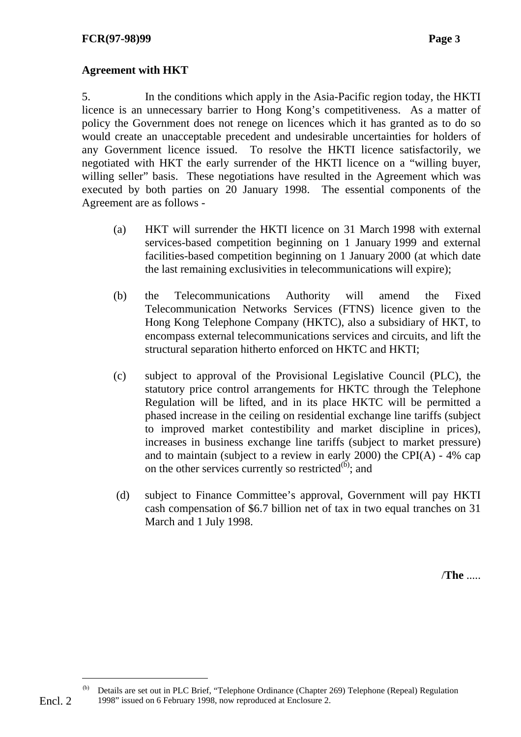#### **Agreement with HKT**

5. In the conditions which apply in the Asia-Pacific region today, the HKTI licence is an unnecessary barrier to Hong Kong's competitiveness. As a matter of policy the Government does not renege on licences which it has granted as to do so would create an unacceptable precedent and undesirable uncertainties for holders of any Government licence issued. To resolve the HKTI licence satisfactorily, we negotiated with HKT the early surrender of the HKTI licence on a "willing buyer, willing seller" basis. These negotiations have resulted in the Agreement which was executed by both parties on 20 January 1998. The essential components of the Agreement are as follows -

- (a) HKT will surrender the HKTI licence on 31 March 1998 with external services-based competition beginning on 1 January 1999 and external facilities-based competition beginning on 1 January 2000 (at which date the last remaining exclusivities in telecommunications will expire);
- (b) the Telecommunications Authority will amend the Fixed Telecommunication Networks Services (FTNS) licence given to the Hong Kong Telephone Company (HKTC), also a subsidiary of HKT, to encompass external telecommunications services and circuits, and lift the structural separation hitherto enforced on HKTC and HKTI;
- (c) subject to approval of the Provisional Legislative Council (PLC), the statutory price control arrangements for HKTC through the Telephone Regulation will be lifted, and in its place HKTC will be permitted a phased increase in the ceiling on residential exchange line tariffs (subject to improved market contestibility and market discipline in prices), increases in business exchange line tariffs (subject to market pressure) and to maintain (subject to a review in early 2000) the CPI(A) - 4% cap on the other services currently so restricted $^{(b)}$ ; and
- (d) subject to Finance Committee's approval, Government will pay HKTI cash compensation of \$6.7 billion net of tax in two equal tranches on 31 March and 1 July 1998.

/**The** .....

-

Details are set out in PLC Brief, "Telephone Ordinance (Chapter 269) Telephone (Repeal) Regulation 1998" issued on 6 February 1998, now reproduced at Enclosure 2.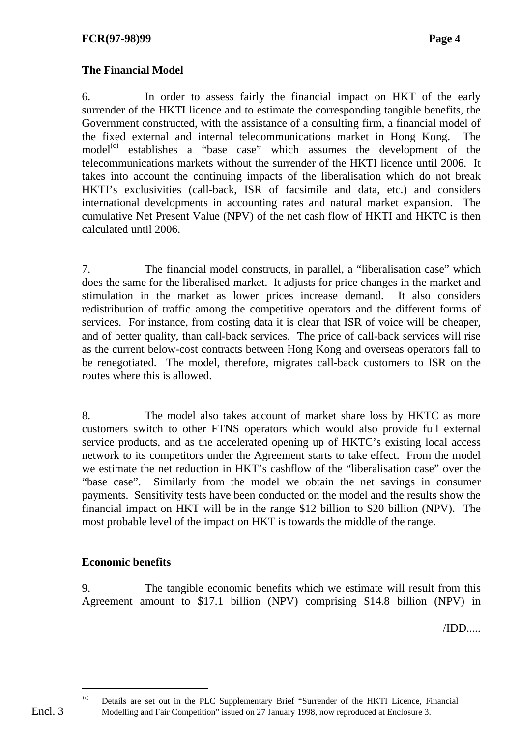## **The Financial Model**

6. In order to assess fairly the financial impact on HKT of the early surrender of the HKTI licence and to estimate the corresponding tangible benefits, the Government constructed, with the assistance of a consulting firm, a financial model of the fixed external and internal telecommunications market in Hong Kong. The  $model<sup>(c)</sup>$  establishes a "base case" which assumes the development of the telecommunications markets without the surrender of the HKTI licence until 2006. It takes into account the continuing impacts of the liberalisation which do not break HKTI's exclusivities (call-back, ISR of facsimile and data, etc.) and considers international developments in accounting rates and natural market expansion. The cumulative Net Present Value (NPV) of the net cash flow of HKTI and HKTC is then calculated until 2006.

7. The financial model constructs, in parallel, a "liberalisation case" which does the same for the liberalised market. It adjusts for price changes in the market and stimulation in the market as lower prices increase demand. It also considers redistribution of traffic among the competitive operators and the different forms of services. For instance, from costing data it is clear that ISR of voice will be cheaper, and of better quality, than call-back services. The price of call-back services will rise as the current below-cost contracts between Hong Kong and overseas operators fall to be renegotiated. The model, therefore, migrates call-back customers to ISR on the routes where this is allowed.

8. The model also takes account of market share loss by HKTC as more customers switch to other FTNS operators which would also provide full external service products, and as the accelerated opening up of HKTC's existing local access network to its competitors under the Agreement starts to take effect. From the model we estimate the net reduction in HKT's cashflow of the "liberalisation case" over the "base case". Similarly from the model we obtain the net savings in consumer payments. Sensitivity tests have been conducted on the model and the results show the financial impact on HKT will be in the range \$12 billion to \$20 billion (NPV). The most probable level of the impact on HKT is towards the middle of the range.

## **Economic benefits**

9. The tangible economic benefits which we estimate will result from this Agreement amount to \$17.1 billion (NPV) comprising \$14.8 billion (NPV) in

/IDD.....

Encl. 3

-

<sup>(</sup>c) Details are set out in the PLC Supplementary Brief "Surrender of the HKTI Licence, Financial Modelling and Fair Competition" issued on 27 January 1998, now reproduced at Enclosure 3.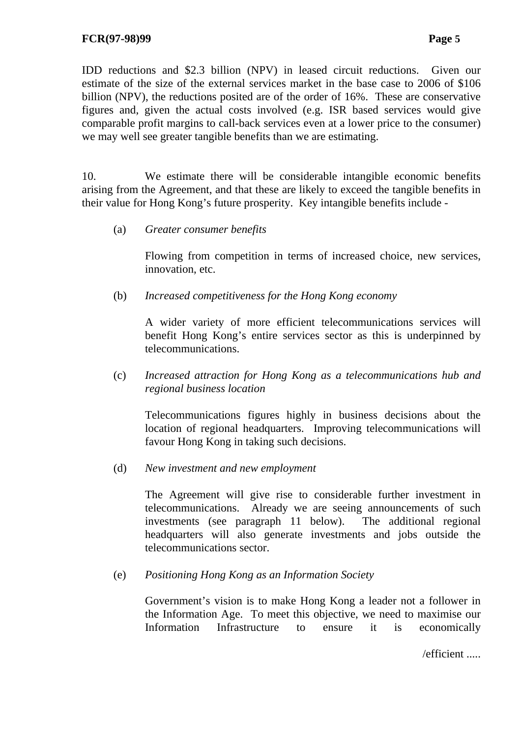IDD reductions and \$2.3 billion (NPV) in leased circuit reductions. Given our estimate of the size of the external services market in the base case to 2006 of \$106 billion (NPV), the reductions posited are of the order of 16%. These are conservative figures and, given the actual costs involved (e.g. ISR based services would give comparable profit margins to call-back services even at a lower price to the consumer) we may well see greater tangible benefits than we are estimating.

10. We estimate there will be considerable intangible economic benefits arising from the Agreement, and that these are likely to exceed the tangible benefits in their value for Hong Kong's future prosperity. Key intangible benefits include -

(a) *Greater consumer benefits* 

 Flowing from competition in terms of increased choice, new services, innovation, etc.

(b) *Increased competitiveness for the Hong Kong economy* 

 A wider variety of more efficient telecommunications services will benefit Hong Kong's entire services sector as this is underpinned by telecommunications.

(c) *Increased attraction for Hong Kong as a telecommunications hub and regional business location* 

 Telecommunications figures highly in business decisions about the location of regional headquarters. Improving telecommunications will favour Hong Kong in taking such decisions.

(d) *New investment and new employment* 

 The Agreement will give rise to considerable further investment in telecommunications. Already we are seeing announcements of such investments (see paragraph 11 below). The additional regional headquarters will also generate investments and jobs outside the telecommunications sector.

(e) *Positioning Hong Kong as an Information Society* 

 Government's vision is to make Hong Kong a leader not a follower in the Information Age. To meet this objective, we need to maximise our Information Infrastructure to ensure it is economically

/efficient .....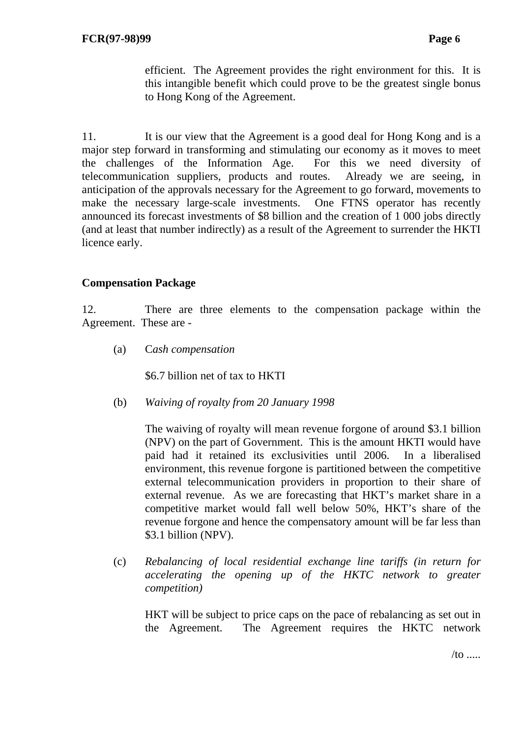efficient. The Agreement provides the right environment for this. It is this intangible benefit which could prove to be the greatest single bonus to Hong Kong of the Agreement.

11. It is our view that the Agreement is a good deal for Hong Kong and is a major step forward in transforming and stimulating our economy as it moves to meet the challenges of the Information Age. For this we need diversity of telecommunication suppliers, products and routes. Already we are seeing, in anticipation of the approvals necessary for the Agreement to go forward, movements to make the necessary large-scale investments. One FTNS operator has recently announced its forecast investments of \$8 billion and the creation of 1 000 jobs directly (and at least that number indirectly) as a result of the Agreement to surrender the HKTI licence early.

#### **Compensation Package**

12. There are three elements to the compensation package within the Agreement. These are -

(a) C*ash compensation* 

\$6.7 billion net of tax to HKTI

(b) *Waiving of royalty from 20 January 1998* 

 The waiving of royalty will mean revenue forgone of around \$3.1 billion (NPV) on the part of Government. This is the amount HKTI would have paid had it retained its exclusivities until 2006. In a liberalised environment, this revenue forgone is partitioned between the competitive external telecommunication providers in proportion to their share of external revenue. As we are forecasting that HKT's market share in a competitive market would fall well below 50%, HKT's share of the revenue forgone and hence the compensatory amount will be far less than \$3.1 billion (NPV).

(c) *Rebalancing of local residential exchange line tariffs (in return for accelerating the opening up of the HKTC network to greater competition)* 

 HKT will be subject to price caps on the pace of rebalancing as set out in the Agreement. The Agreement requires the HKTC network

 $/$ to .....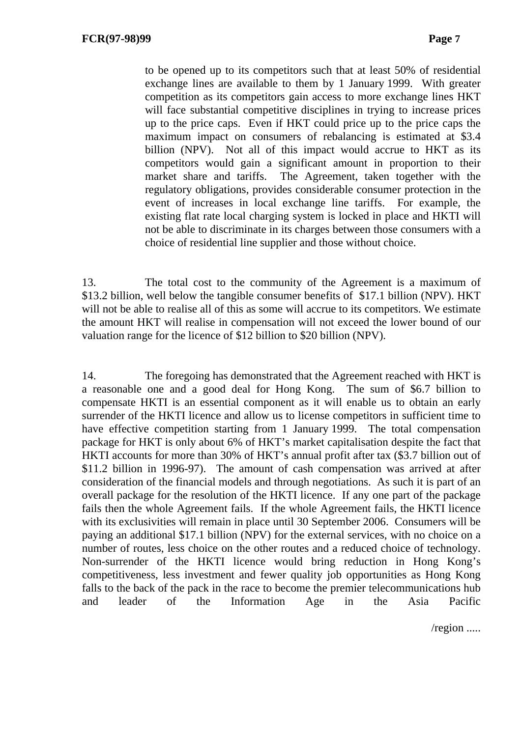to be opened up to its competitors such that at least 50% of residential exchange lines are available to them by 1 January 1999. With greater competition as its competitors gain access to more exchange lines HKT will face substantial competitive disciplines in trying to increase prices up to the price caps. Even if HKT could price up to the price caps the maximum impact on consumers of rebalancing is estimated at \$3.4 billion (NPV). Not all of this impact would accrue to HKT as its competitors would gain a significant amount in proportion to their market share and tariffs. The Agreement, taken together with the regulatory obligations, provides considerable consumer protection in the event of increases in local exchange line tariffs. For example, the existing flat rate local charging system is locked in place and HKTI will not be able to discriminate in its charges between those consumers with a choice of residential line supplier and those without choice.

13. The total cost to the community of the Agreement is a maximum of \$13.2 billion, well below the tangible consumer benefits of \$17.1 billion (NPV). HKT will not be able to realise all of this as some will accrue to its competitors. We estimate the amount HKT will realise in compensation will not exceed the lower bound of our valuation range for the licence of \$12 billion to \$20 billion (NPV).

14. The foregoing has demonstrated that the Agreement reached with HKT is a reasonable one and a good deal for Hong Kong. The sum of \$6.7 billion to compensate HKTI is an essential component as it will enable us to obtain an early surrender of the HKTI licence and allow us to license competitors in sufficient time to have effective competition starting from 1 January 1999. The total compensation package for HKT is only about 6% of HKT's market capitalisation despite the fact that HKTI accounts for more than 30% of HKT's annual profit after tax (\$3.7 billion out of \$11.2 billion in 1996-97). The amount of cash compensation was arrived at after consideration of the financial models and through negotiations. As such it is part of an overall package for the resolution of the HKTI licence. If any one part of the package fails then the whole Agreement fails. If the whole Agreement fails, the HKTI licence with its exclusivities will remain in place until 30 September 2006. Consumers will be paying an additional \$17.1 billion (NPV) for the external services, with no choice on a number of routes, less choice on the other routes and a reduced choice of technology. Non-surrender of the HKTI licence would bring reduction in Hong Kong's competitiveness, less investment and fewer quality job opportunities as Hong Kong falls to the back of the pack in the race to become the premier telecommunications hub and leader of the Information Age in the Asia Pacific

/region .....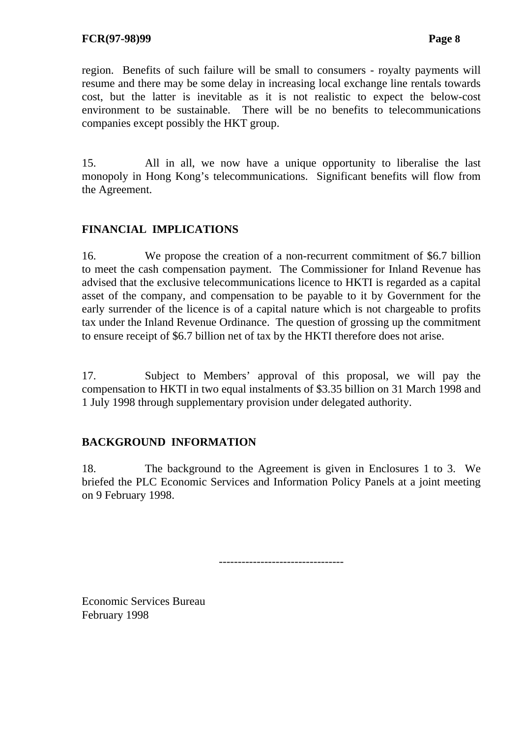region. Benefits of such failure will be small to consumers - royalty payments will resume and there may be some delay in increasing local exchange line rentals towards cost, but the latter is inevitable as it is not realistic to expect the below-cost environment to be sustainable. There will be no benefits to telecommunications companies except possibly the HKT group.

15. All in all, we now have a unique opportunity to liberalise the last monopoly in Hong Kong's telecommunications. Significant benefits will flow from the Agreement.

# **FINANCIAL IMPLICATIONS**

16. We propose the creation of a non-recurrent commitment of \$6.7 billion to meet the cash compensation payment. The Commissioner for Inland Revenue has advised that the exclusive telecommunications licence to HKTI is regarded as a capital asset of the company, and compensation to be payable to it by Government for the early surrender of the licence is of a capital nature which is not chargeable to profits tax under the Inland Revenue Ordinance. The question of grossing up the commitment to ensure receipt of \$6.7 billion net of tax by the HKTI therefore does not arise.

17. Subject to Members' approval of this proposal, we will pay the compensation to HKTI in two equal instalments of \$3.35 billion on 31 March 1998 and 1 July 1998 through supplementary provision under delegated authority.

## **BACKGROUND INFORMATION**

18. The background to the Agreement is given in Enclosures 1 to 3. We briefed the PLC Economic Services and Information Policy Panels at a joint meeting on 9 February 1998.

---------------------------------

Economic Services Bureau February 1998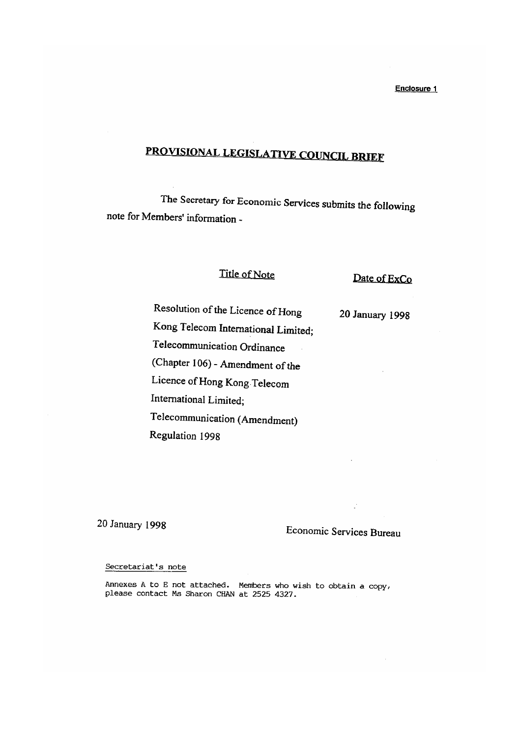# PROVISIONAL LEGISLATIVE COUNCIL BRIEF

The Secretary for Economic Services submits the following note for Members' information -

#### Title of Note

Date of ExCo

20 January 1998

Kong Telecom International Limited;

Resolution of the Licence of Hong

Telecommunication Ordinance

(Chapter 106) - Amendment of the

Licence of Hong Kong Telecom

International Limited;

Telecommunication (Amendment)

Regulation 1998

20 January 1998

# Economic Services Bureau

#### Secretariat's note

Annexes A to E not attached. Members who wish to obtain a copy, please contact Ms Sharon CHAN at 2525 4327.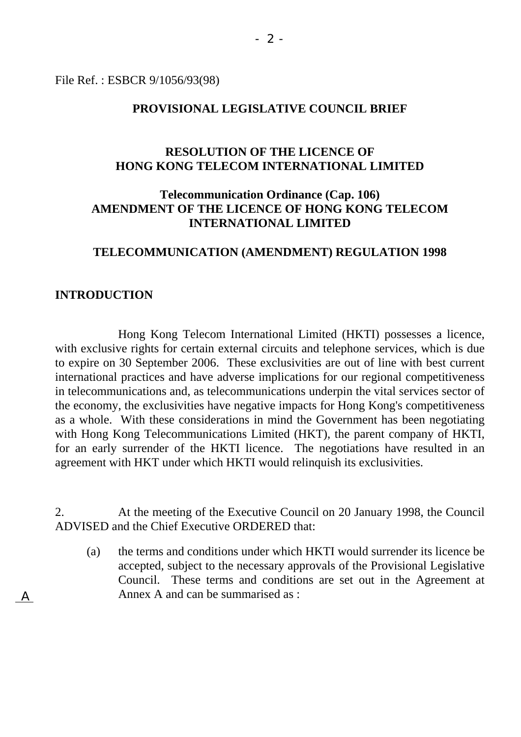File Ref. : ESBCR 9/1056/93(98)

#### **PROVISIONAL LEGISLATIVE COUNCIL BRIEF**

## **RESOLUTION OF THE LICENCE OF HONG KONG TELECOM INTERNATIONAL LIMITED**

## **Telecommunication Ordinance (Cap. 106) AMENDMENT OF THE LICENCE OF HONG KONG TELECOM INTERNATIONAL LIMITED**

#### **TELECOMMUNICATION (AMENDMENT) REGULATION 1998**

#### **INTRODUCTION**

 Hong Kong Telecom International Limited (HKTI) possesses a licence, with exclusive rights for certain external circuits and telephone services, which is due to expire on 30 September 2006. These exclusivities are out of line with best current international practices and have adverse implications for our regional competitiveness in telecommunications and, as telecommunications underpin the vital services sector of the economy, the exclusivities have negative impacts for Hong Kong's competitiveness as a whole. With these considerations in mind the Government has been negotiating with Hong Kong Telecommunications Limited (HKT), the parent company of HKTI, for an early surrender of the HKTI licence. The negotiations have resulted in an agreement with HKT under which HKTI would relinquish its exclusivities.

2. At the meeting of the Executive Council on 20 January 1998, the Council ADVISED and the Chief Executive ORDERED that:

(a) the terms and conditions under which HKTI would surrender its licence be accepted, subject to the necessary approvals of the Provisional Legislative Council. These terms and conditions are set out in the Agreement at Annex A and can be summarised as :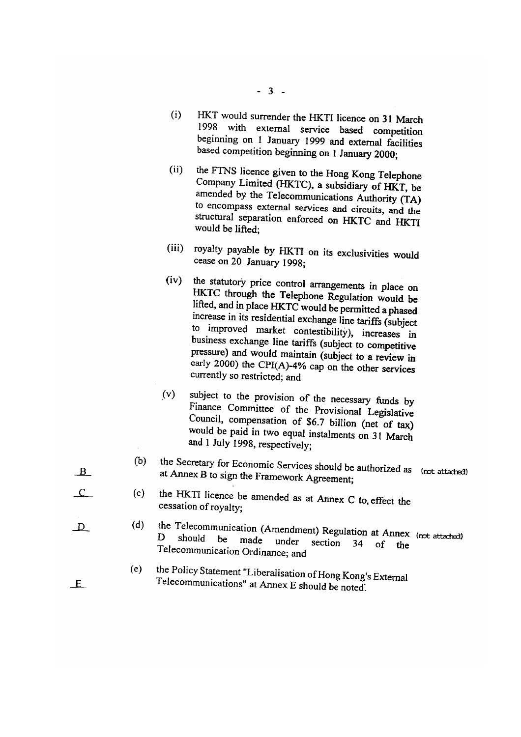- $-3 -$
- HKT would surrender the HKTI licence on 31 March  $(i)$ 1998 with external service based competition beginning on 1 January 1999 and external facilities based competition beginning on 1 January 2000;
- the FTNS licence given to the Hong Kong Telephone  $(ii)$ Company Limited (HKTC), a subsidiary of HKT, be amended by the Telecommunications Authority (TA) to encompass external services and circuits, and the structural separation enforced on HKTC and HKTI would be lifted:
- royalty payable by HKTI on its exclusivities would  $(iii)$ cease on 20 January 1998;
- $(iv)$ the statutory price control arrangements in place on HKTC through the Telephone Regulation would be lifted, and in place HKTC would be permitted a phased increase in its residential exchange line tariffs (subject to improved market contestibility), increases in business exchange line tariffs (subject to competitive pressure) and would maintain (subject to a review in early 2000) the CPI(A)-4% cap on the other services currently so restricted; and
- subject to the provision of the necessary funds by  $(v)$ Finance Committee of the Provisional Legislative Council, compensation of \$6.7 billion (net of tax) would be paid in two equal instalments on 31 March and 1 July 1998, respectively;
- the Secretary for Economic Services should be authorized as (not attached)  $(b)$ at Annex B to sign the Framework Agreement;
- the HKTI licence be amended as at Annex C to effect the  $(c)$ cessation of royalty;
- the Telecommunication (Amendment) Regulation at Annex (not attached)  $(d)$ should be made under section 34  $\sigma$ the Telecommunication Ordinance; and
- the Policy Statement "Liberalisation of Hong Kong's External  $(e)$ Telecommunications" at Annex E should be noted.
- $\Box$ B
- $\overline{\mathcal{L}}$
- 

 $\overline{D}$ 

 $E$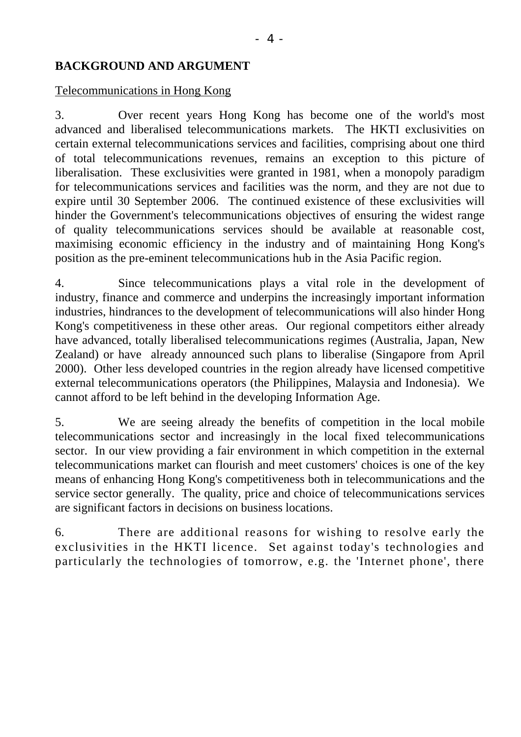## **BACKGROUND AND ARGUMENT**

#### Telecommunications in Hong Kong

3. Over recent years Hong Kong has become one of the world's most advanced and liberalised telecommunications markets. The HKTI exclusivities on certain external telecommunications services and facilities, comprising about one third of total telecommunications revenues, remains an exception to this picture of liberalisation. These exclusivities were granted in 1981, when a monopoly paradigm for telecommunications services and facilities was the norm, and they are not due to expire until 30 September 2006. The continued existence of these exclusivities will hinder the Government's telecommunications objectives of ensuring the widest range of quality telecommunications services should be available at reasonable cost, maximising economic efficiency in the industry and of maintaining Hong Kong's position as the pre-eminent telecommunications hub in the Asia Pacific region.

4. Since telecommunications plays a vital role in the development of industry, finance and commerce and underpins the increasingly important information industries, hindrances to the development of telecommunications will also hinder Hong Kong's competitiveness in these other areas. Our regional competitors either already have advanced, totally liberalised telecommunications regimes (Australia, Japan, New Zealand) or have already announced such plans to liberalise (Singapore from April 2000). Other less developed countries in the region already have licensed competitive external telecommunications operators (the Philippines, Malaysia and Indonesia). We cannot afford to be left behind in the developing Information Age.

5. We are seeing already the benefits of competition in the local mobile telecommunications sector and increasingly in the local fixed telecommunications sector. In our view providing a fair environment in which competition in the external telecommunications market can flourish and meet customers' choices is one of the key means of enhancing Hong Kong's competitiveness both in telecommunications and the service sector generally. The quality, price and choice of telecommunications services are significant factors in decisions on business locations.

6. There are additional reasons for wishing to resolve early the exclusivities in the HKTI licence. Set against today's technologies and particularly the technologies of tomorrow, e.g. the 'Internet phone', there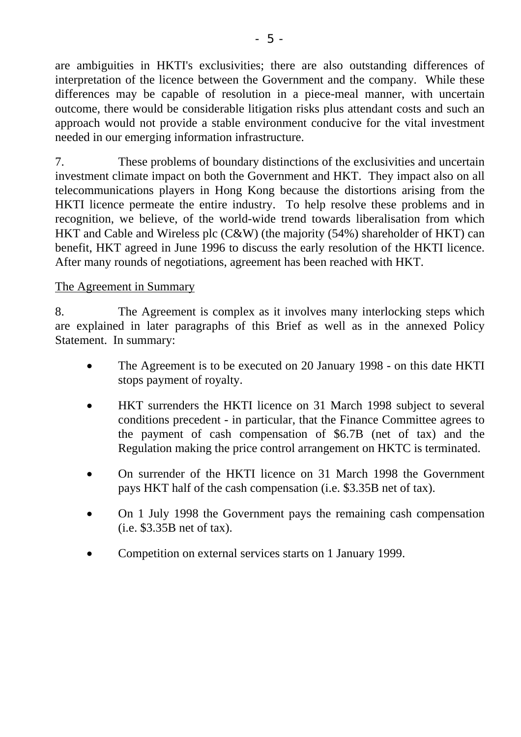are ambiguities in HKTI's exclusivities; there are also outstanding differences of interpretation of the licence between the Government and the company. While these differences may be capable of resolution in a piece-meal manner, with uncertain outcome, there would be considerable litigation risks plus attendant costs and such an approach would not provide a stable environment conducive for the vital investment needed in our emerging information infrastructure.

7. These problems of boundary distinctions of the exclusivities and uncertain investment climate impact on both the Government and HKT. They impact also on all telecommunications players in Hong Kong because the distortions arising from the HKTI licence permeate the entire industry. To help resolve these problems and in recognition, we believe, of the world-wide trend towards liberalisation from which HKT and Cable and Wireless plc (C&W) (the majority (54%) shareholder of HKT) can benefit, HKT agreed in June 1996 to discuss the early resolution of the HKTI licence. After many rounds of negotiations, agreement has been reached with HKT.

#### The Agreement in Summary

8. The Agreement is complex as it involves many interlocking steps which are explained in later paragraphs of this Brief as well as in the annexed Policy Statement. In summary:

- The Agreement is to be executed on 20 January 1998 on this date HKTI stops payment of royalty.
- HKT surrenders the HKTI licence on 31 March 1998 subject to several conditions precedent - in particular, that the Finance Committee agrees to the payment of cash compensation of \$6.7B (net of tax) and the Regulation making the price control arrangement on HKTC is terminated.
- On surrender of the HKTI licence on 31 March 1998 the Government pays HKT half of the cash compensation (i.e. \$3.35B net of tax).
- On 1 July 1998 the Government pays the remaining cash compensation (i.e. \$3.35B net of tax).
- Competition on external services starts on 1 January 1999.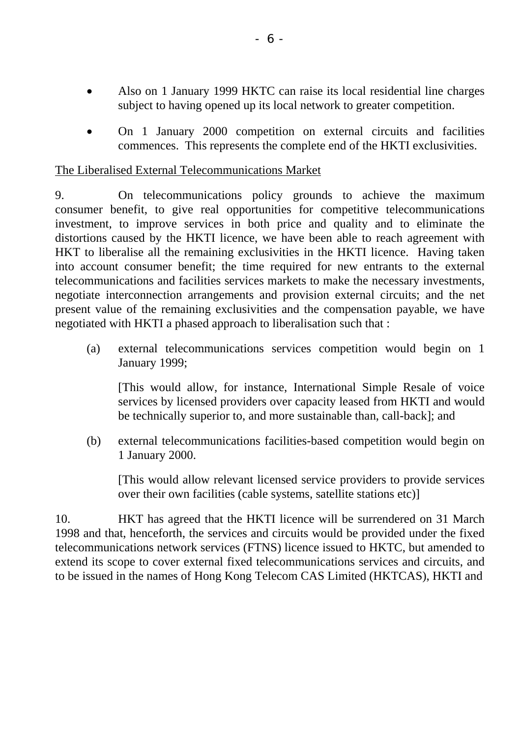- Also on 1 January 1999 HKTC can raise its local residential line charges subject to having opened up its local network to greater competition.
- On 1 January 2000 competition on external circuits and facilities commences. This represents the complete end of the HKTI exclusivities.

### The Liberalised External Telecommunications Market

9. On telecommunications policy grounds to achieve the maximum consumer benefit, to give real opportunities for competitive telecommunications investment, to improve services in both price and quality and to eliminate the distortions caused by the HKTI licence, we have been able to reach agreement with HKT to liberalise all the remaining exclusivities in the HKTI licence. Having taken into account consumer benefit; the time required for new entrants to the external telecommunications and facilities services markets to make the necessary investments, negotiate interconnection arrangements and provision external circuits; and the net present value of the remaining exclusivities and the compensation payable, we have negotiated with HKTI a phased approach to liberalisation such that :

(a) external telecommunications services competition would begin on 1 January 1999;

 [This would allow, for instance, International Simple Resale of voice services by licensed providers over capacity leased from HKTI and would be technically superior to, and more sustainable than, call-back]; and

(b) external telecommunications facilities-based competition would begin on 1 January 2000.

 [This would allow relevant licensed service providers to provide services over their own facilities (cable systems, satellite stations etc)]

10. HKT has agreed that the HKTI licence will be surrendered on 31 March 1998 and that, henceforth, the services and circuits would be provided under the fixed telecommunications network services (FTNS) licence issued to HKTC, but amended to extend its scope to cover external fixed telecommunications services and circuits, and to be issued in the names of Hong Kong Telecom CAS Limited (HKTCAS), HKTI and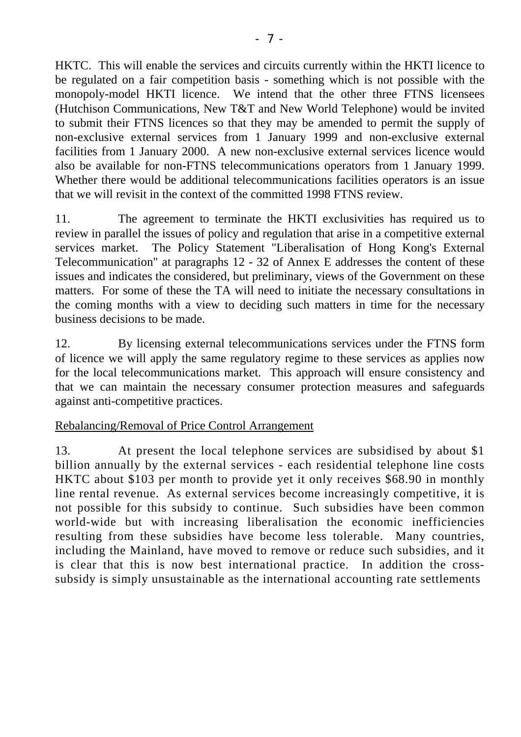HKTC. This will enable the services and circuits currently within the HKTI licence to be regulated on a fair competition basis - something which is not possible with the monopoly-model HKTI licence. We intend that the other three FTNS licensees (Hutchison Communications, New T&T and New World Telephone) would be invited to submit their FTNS licences so that they may be amended to permit the supply of non-exclusive external services from 1 January 1999 and non-exclusive external facilities from 1 January 2000. A new non-exclusive external services licence would also be available for non-FTNS telecommunications operators from 1 January 1999. Whether there would be additional telecommunications facilities operators is an issue that we will revisit in the context of the committed 1998 FTNS review.

11. The agreement to terminate the HKTI exclusivities has required us to review in parallel the issues of policy and regulation that arise in a competitive external services market. The Policy Statement "Liberalisation of Hong Kong's External Telecommunication" at paragraphs 12 - 32 of Annex E addresses the content of these issues and indicates the considered, but preliminary, views of the Government on these matters. For some of these the TA will need to initiate the necessary consultations in the coming months with a view to deciding such matters in time for the necessary business decisions to be made.

12. By licensing external telecommunications services under the FTNS form of licence we will apply the same regulatory regime to these services as applies now for the local telecommunications market. This approach will ensure consistency and that we can maintain the necessary consumer protection measures and safeguards against anti-competitive practices.

## Rebalancing/Removal of Price Control Arrangement

13. At present the local telephone services are subsidised by about \$1 billion annually by the external services - each residential telephone line costs HKTC about \$103 per month to provide yet it only receives \$68.90 in monthly line rental revenue. As external services become increasingly competitive, it is not possible for this subsidy to continue. Such subsidies have been common world-wide but with increasing liberalisation the economic inefficiencies resulting from these subsidies have become less tolerable. Many countries, including the Mainland, have moved to remove or reduce such subsidies, and it is clear that this is now best international practice. In addition the crosssubsidy is simply unsustainable as the international accounting rate settlements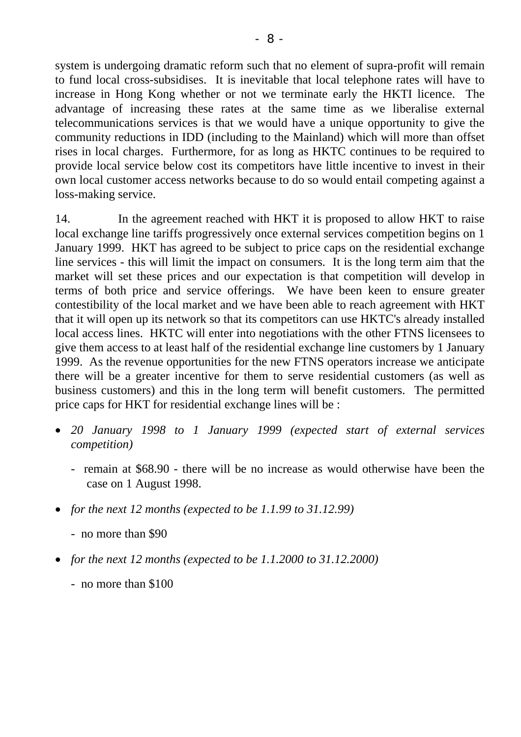system is undergoing dramatic reform such that no element of supra-profit will remain to fund local cross-subsidises. It is inevitable that local telephone rates will have to increase in Hong Kong whether or not we terminate early the HKTI licence. The advantage of increasing these rates at the same time as we liberalise external telecommunications services is that we would have a unique opportunity to give the community reductions in IDD (including to the Mainland) which will more than offset rises in local charges. Furthermore, for as long as HKTC continues to be required to provide local service below cost its competitors have little incentive to invest in their own local customer access networks because to do so would entail competing against a loss-making service.

14. In the agreement reached with HKT it is proposed to allow HKT to raise local exchange line tariffs progressively once external services competition begins on 1 January 1999. HKT has agreed to be subject to price caps on the residential exchange line services - this will limit the impact on consumers. It is the long term aim that the market will set these prices and our expectation is that competition will develop in terms of both price and service offerings. We have been keen to ensure greater contestibility of the local market and we have been able to reach agreement with HKT that it will open up its network so that its competitors can use HKTC's already installed local access lines. HKTC will enter into negotiations with the other FTNS licensees to give them access to at least half of the residential exchange line customers by 1 January 1999. As the revenue opportunities for the new FTNS operators increase we anticipate there will be a greater incentive for them to serve residential customers (as well as business customers) and this in the long term will benefit customers. The permitted price caps for HKT for residential exchange lines will be :

- *20 January 1998 to 1 January 1999 (expected start of external services competition)* 
	- remain at \$68.90 there will be no increase as would otherwise have been the case on 1 August 1998.
- *for the next 12 months (expected to be 1.1.99 to 31.12.99)* 
	- no more than \$90
- *for the next 12 months (expected to be 1.1.2000 to 31.12.2000)* 
	- no more than \$100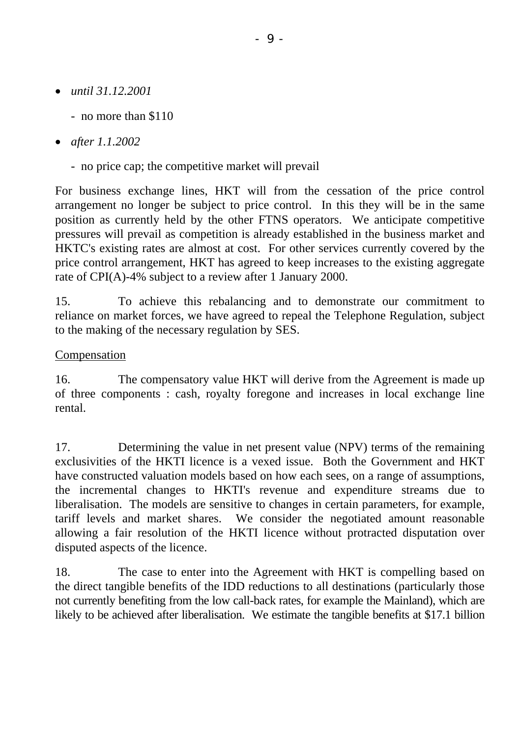- *until 31.12.2001* 
	- no more than \$110
- *after 1.1.2002* 
	- no price cap; the competitive market will prevail

For business exchange lines, HKT will from the cessation of the price control arrangement no longer be subject to price control. In this they will be in the same position as currently held by the other FTNS operators. We anticipate competitive pressures will prevail as competition is already established in the business market and HKTC's existing rates are almost at cost. For other services currently covered by the price control arrangement, HKT has agreed to keep increases to the existing aggregate rate of CPI(A)-4% subject to a review after 1 January 2000.

15. To achieve this rebalancing and to demonstrate our commitment to reliance on market forces, we have agreed to repeal the Telephone Regulation, subject to the making of the necessary regulation by SES.

# **Compensation**

16. The compensatory value HKT will derive from the Agreement is made up of three components : cash, royalty foregone and increases in local exchange line rental.

17. Determining the value in net present value (NPV) terms of the remaining exclusivities of the HKTI licence is a vexed issue. Both the Government and HKT have constructed valuation models based on how each sees, on a range of assumptions, the incremental changes to HKTI's revenue and expenditure streams due to liberalisation. The models are sensitive to changes in certain parameters, for example, tariff levels and market shares. We consider the negotiated amount reasonable allowing a fair resolution of the HKTI licence without protracted disputation over disputed aspects of the licence.

18. The case to enter into the Agreement with HKT is compelling based on the direct tangible benefits of the IDD reductions to all destinations (particularly those not currently benefiting from the low call-back rates, for example the Mainland), which are likely to be achieved after liberalisation. We estimate the tangible benefits at \$17.1 billion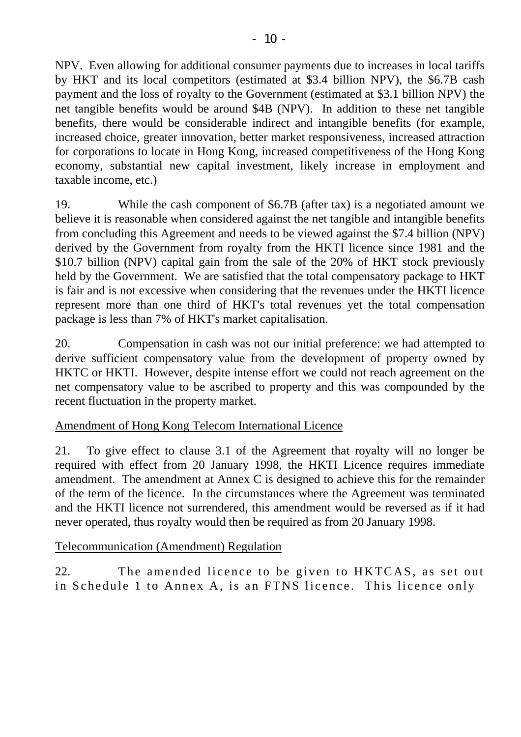NPV. Even allowing for additional consumer payments due to increases in local tariffs by HKT and its local competitors (estimated at \$3.4 billion NPV), the \$6.7B cash payment and the loss of royalty to the Government (estimated at \$3.1 billion NPV) the net tangible benefits would be around \$4B (NPV). In addition to these net tangible benefits, there would be considerable indirect and intangible benefits (for example, increased choice, greater innovation, better market responsiveness, increased attraction for corporations to locate in Hong Kong, increased competitiveness of the Hong Kong economy, substantial new capital investment, likely increase in employment and taxable income, etc.)

19. While the cash component of \$6.7B (after tax) is a negotiated amount we believe it is reasonable when considered against the net tangible and intangible benefits from concluding this Agreement and needs to be viewed against the \$7.4 billion (NPV) derived by the Government from royalty from the HKTI licence since 1981 and the \$10.7 billion (NPV) capital gain from the sale of the 20% of HKT stock previously held by the Government. We are satisfied that the total compensatory package to HKT is fair and is not excessive when considering that the revenues under the HKTI licence represent more than one third of HKT's total revenues yet the total compensation package is less than 7% of HKT's market capitalisation.

20. Compensation in cash was not our initial preference: we had attempted to derive sufficient compensatory value from the development of property owned by HKTC or HKTI. However, despite intense effort we could not reach agreement on the net compensatory value to be ascribed to property and this was compounded by the recent fluctuation in the property market.

# Amendment of Hong Kong Telecom International Licence

21. To give effect to clause 3.1 of the Agreement that royalty will no longer be required with effect from 20 January 1998, the HKTI Licence requires immediate amendment. The amendment at Annex C is designed to achieve this for the remainder of the term of the licence. In the circumstances where the Agreement was terminated and the HKTI licence not surrendered, this amendment would be reversed as if it had never operated, thus royalty would then be required as from 20 January 1998.

## Telecommunication (Amendment) Regulation

22. The amended licence to be given to HKTCAS, as set out in Schedule 1 to Annex A, is an FTNS licence. This licence only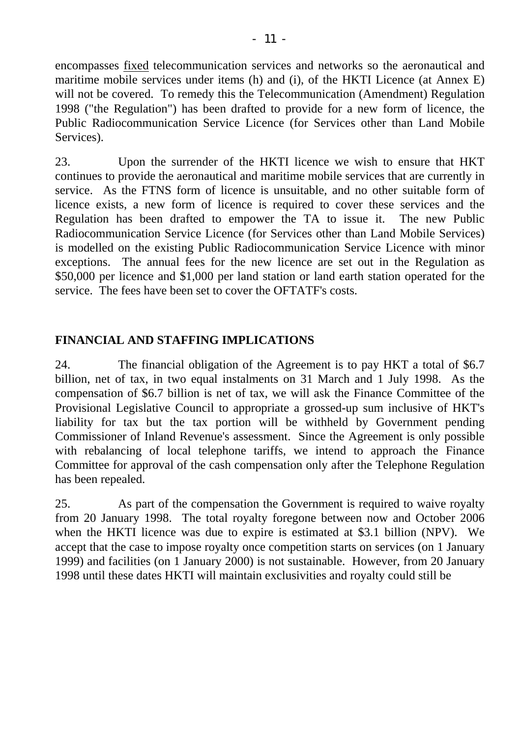encompasses fixed telecommunication services and networks so the aeronautical and maritime mobile services under items (h) and (i), of the HKTI Licence (at Annex E) will not be covered. To remedy this the Telecommunication (Amendment) Regulation 1998 ("the Regulation") has been drafted to provide for a new form of licence, the Public Radiocommunication Service Licence (for Services other than Land Mobile Services).

23. Upon the surrender of the HKTI licence we wish to ensure that HKT continues to provide the aeronautical and maritime mobile services that are currently in service. As the FTNS form of licence is unsuitable, and no other suitable form of licence exists, a new form of licence is required to cover these services and the Regulation has been drafted to empower the TA to issue it. The new Public Radiocommunication Service Licence (for Services other than Land Mobile Services) is modelled on the existing Public Radiocommunication Service Licence with minor exceptions. The annual fees for the new licence are set out in the Regulation as \$50,000 per licence and \$1,000 per land station or land earth station operated for the service. The fees have been set to cover the OFTATF's costs.

# **FINANCIAL AND STAFFING IMPLICATIONS**

24. The financial obligation of the Agreement is to pay HKT a total of \$6.7 billion, net of tax, in two equal instalments on 31 March and 1 July 1998. As the compensation of \$6.7 billion is net of tax, we will ask the Finance Committee of the Provisional Legislative Council to appropriate a grossed-up sum inclusive of HKT's liability for tax but the tax portion will be withheld by Government pending Commissioner of Inland Revenue's assessment. Since the Agreement is only possible with rebalancing of local telephone tariffs, we intend to approach the Finance Committee for approval of the cash compensation only after the Telephone Regulation has been repealed.

25. As part of the compensation the Government is required to waive royalty from 20 January 1998. The total royalty foregone between now and October 2006 when the HKTI licence was due to expire is estimated at \$3.1 billion (NPV). We accept that the case to impose royalty once competition starts on services (on 1 January 1999) and facilities (on 1 January 2000) is not sustainable. However, from 20 January 1998 until these dates HKTI will maintain exclusivities and royalty could still be